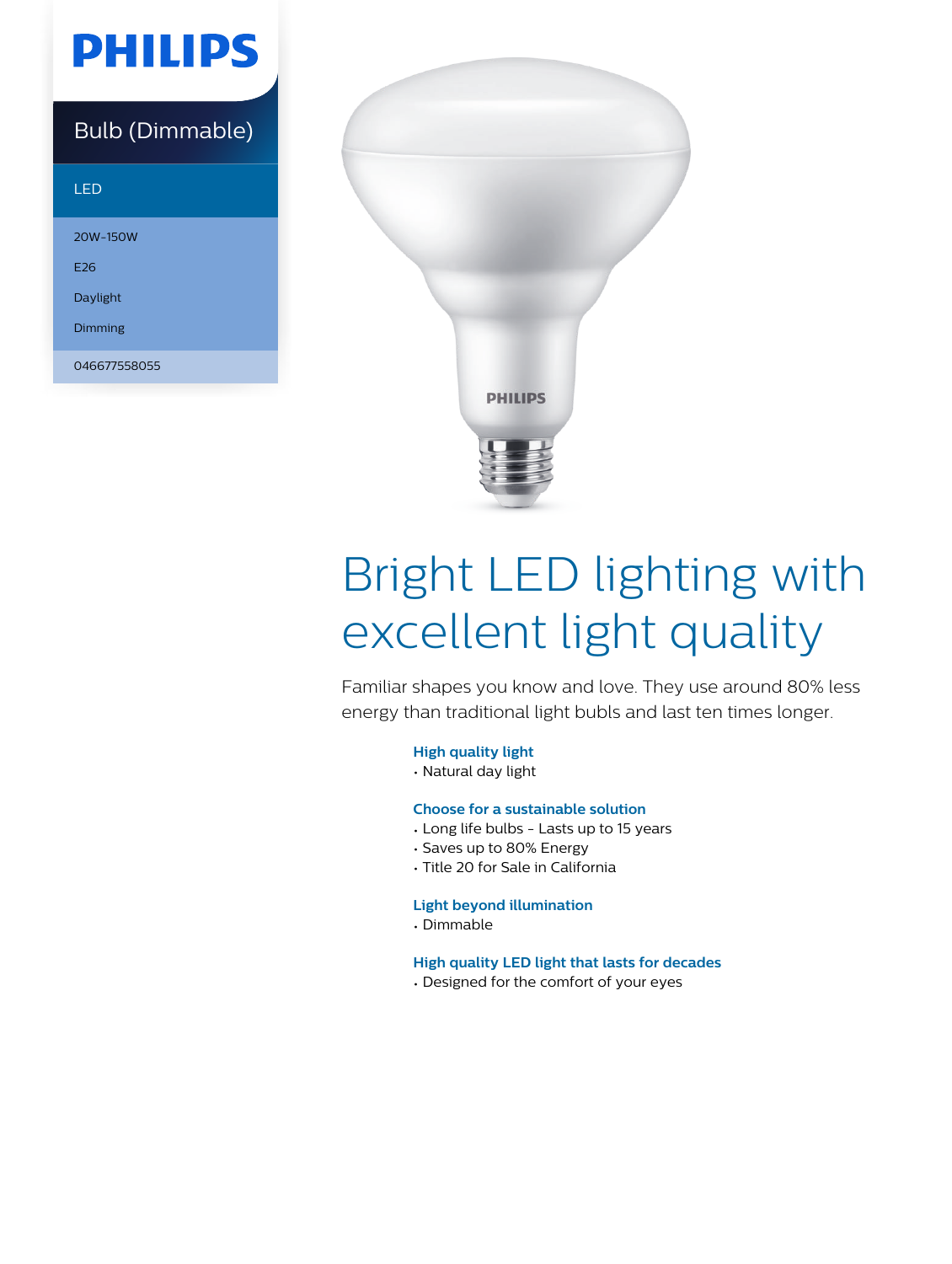## **PHILIPS**

### Bulb (Dimmable)

#### LED

20W-150W E26 Daylight

Dimming

046677558055



# Bright LED lighting with excellent light quality

Familiar shapes you know and love. They use around 80% less energy than traditional light bubls and last ten times longer.

#### **High quality light**

• Natural day light

#### **Choose for a sustainable solution**

- Long life bulbs Lasts up to 15 years
- Saves up to 80% Energy
- Title 20 for Sale in California

#### **Light beyond illumination**

• Dimmable

#### **High quality LED light that lasts for decades**

• Designed for the comfort of your eyes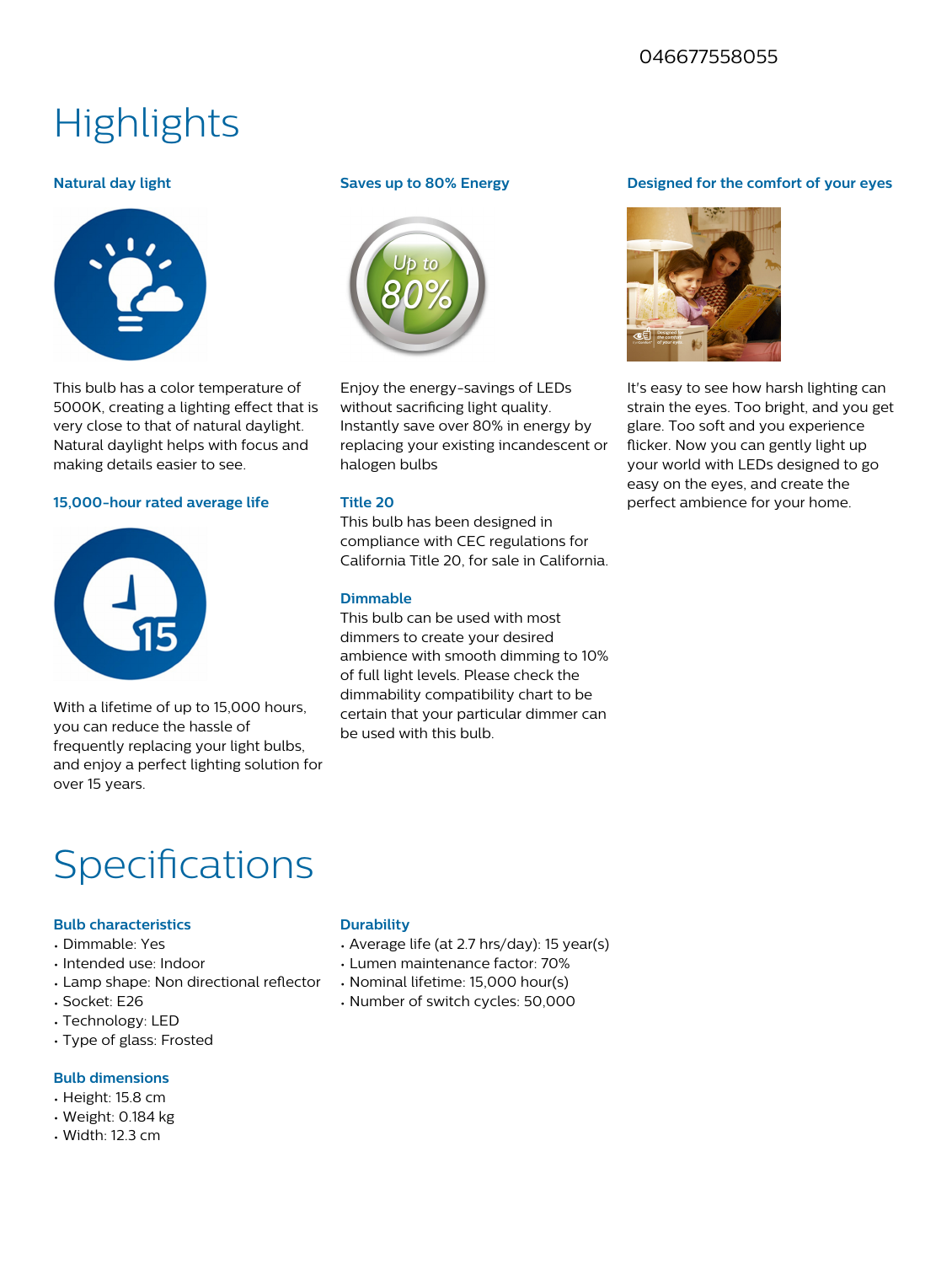#### 046677558055

### **Highlights**

#### **Natural day light**



This bulb has a color temperature of 5000K, creating a lighting effect that is very close to that of natural daylight. Natural daylight helps with focus and making details easier to see.

#### **15,000-hour rated average life**



With a lifetime of up to 15,000 hours, you can reduce the hassle of frequently replacing your light bulbs, and enjoy a perfect lighting solution for over 15 years.

#### **Saves up to 80% Energy**



Enjoy the energy-savings of LEDs without sacrificing light quality. Instantly save over 80% in energy by replacing your existing incandescent or halogen bulbs

#### **Title 20**

This bulb has been designed in compliance with CEC regulations for California Title 20, for sale in California.

#### **Dimmable**

This bulb can be used with most dimmers to create your desired ambience with smooth dimming to 10% of full light levels. Please check the dimmability compatibility chart to be certain that your particular dimmer can be used with this bulb.

#### **Designed for the comfort of your eyes**



It's easy to see how harsh lighting can strain the eyes. Too bright, and you get glare. Too soft and you experience flicker. Now you can gently light up your world with LEDs designed to go easy on the eyes, and create the perfect ambience for your home.

### Specifications

#### **Bulb characteristics**

- Dimmable: Yes
- Intended use: Indoor
- Lamp shape: Non directional reflector
- Socket: E26
- Technology: LED
- Type of glass: Frosted

#### **Bulb dimensions**

- Height: 15.8 cm
- Weight: 0.184 kg
- Width: 12.3 cm

#### **Durability**

- Average life (at 2.7 hrs/day): 15 year(s)
- Lumen maintenance factor: 70%
- Nominal lifetime: 15,000 hour(s)
- Number of switch cycles: 50,000